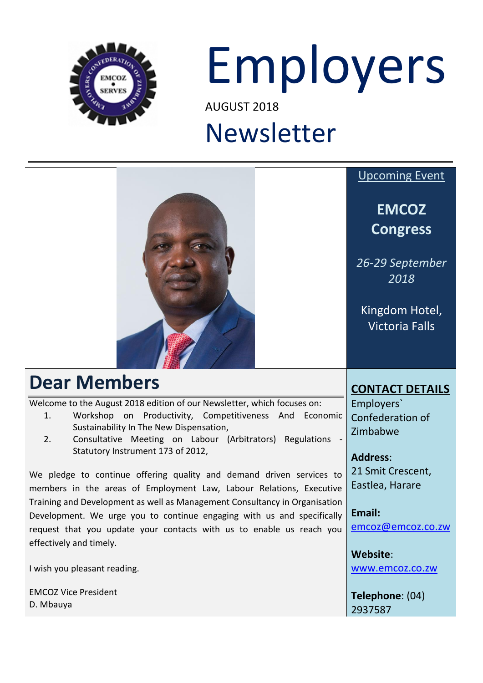

# Employers

AUGUST 2018

# Newsletter

|                                                                                                                                                                                                                                                               | <b>Upcoming Event</b>                      |
|---------------------------------------------------------------------------------------------------------------------------------------------------------------------------------------------------------------------------------------------------------------|--------------------------------------------|
|                                                                                                                                                                                                                                                               | <b>EMCOZ</b><br><b>Congress</b>            |
|                                                                                                                                                                                                                                                               | 26-29 September<br>2018                    |
|                                                                                                                                                                                                                                                               | Kingdom Hotel,<br><b>Victoria Falls</b>    |
| <b>Dear Members</b>                                                                                                                                                                                                                                           | <b>CONTACT DETAILS</b>                     |
| Welcome to the August 2018 edition of our Newsletter, which focuses on:<br>Workshop<br>Productivity, Competitiveness And<br>on<br>Economic<br>1.<br>Sustainability In The New Dispensation,<br>2.<br>Consultative Meeting on Labour (Arbitrators) Regulations | Employers`<br>Confederation of<br>Zimbabwe |
| Statutory Instrument 173 of 2012,                                                                                                                                                                                                                             | <b>Address:</b>                            |
| We pledge to continue offering quality and demand driven services to<br>members in the areas of Employment Law, Labour Relations, Executive                                                                                                                   | 21 Smit Crescent,<br>Eastlea, Harare       |
| Training and Development as well as Management Consultancy in Organisation<br>Development. We urge you to continue engaging with us and specifically<br>request that you update your contacts with us to enable us reach you<br>effectively and timely.       | Email:<br>emcoz@emcoz.co.zw                |
|                                                                                                                                                                                                                                                               | Website:                                   |
| I wish you pleasant reading.                                                                                                                                                                                                                                  | www.emcoz.co.zw                            |
| <b>EMCOZ Vice President</b>                                                                                                                                                                                                                                   | Telephone: (04)                            |

2937587

D. Mbauya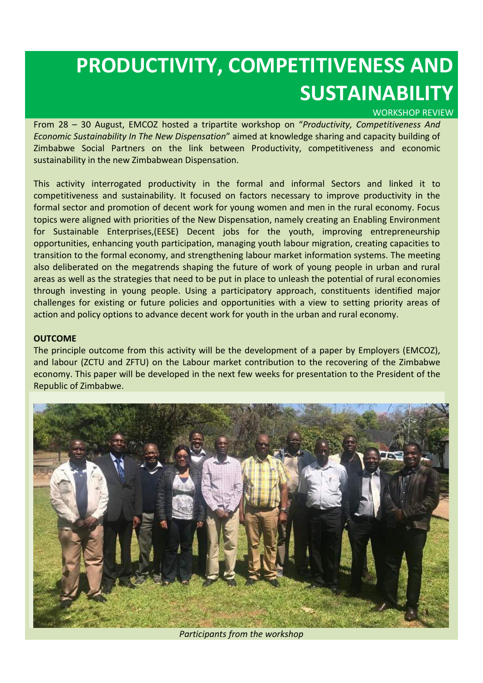### **PRODUCTIVITY, COMPETITIVENESS AND SUSTAINABILITY**

#### WORKSHOP REVIEW

From 28 – 30 August, EMCOZ hosted a tripartite workshop on "*Productivity, Competitiveness And Economic Sustainability In The New Dispensation*" aimed at knowledge sharing and capacity building of Zimbabwe Social Partners on the link between Productivity, competitiveness and economic sustainability in the new Zimbabwean Dispensation.

This activity interrogated productivity in the formal and informal Sectors and linked it to competitiveness and sustainability. It focused on factors necessary to improve productivity in the formal sector and promotion of decent work for young women and men in the rural economy. Focus topics were aligned with priorities of the New Dispensation, namely creating an Enabling Environment for Sustainable Enterprises,(EESE) Decent jobs for the youth, improving entrepreneurship opportunities, enhancing youth participation, managing youth labour migration, creating capacities to transition to the formal economy, and strengthening labour market information systems. The meeting also deliberated on the megatrends shaping the future of work of young people in urban and rural areas as well as the strategies that need to be put in place to unleash the potential of rural economies through investing in young people. Using a participatory approach, constituents identified major challenges for existing or future policies and opportunities with a view to setting priority areas of action and policy options to advance decent work for youth in the urban and rural economy.

#### **OUTCOME**

The principle outcome from this activity will be the development of a paper by Employers (EMCOZ), and labour (ZCTU and ZFTU) on the Labour market contribution to the recovering of the Zimbabwe economy. This paper will be developed in the next few weeks for presentation to the President of the Republic of Zimbabwe.



*Participants from the workshop*